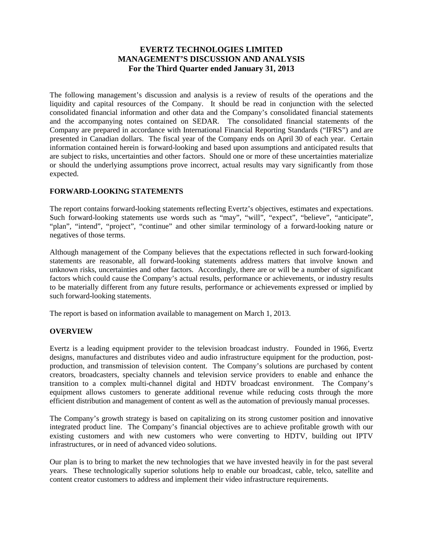# **EVERTZ TECHNOLOGIES LIMITED MANAGEMENT'S DISCUSSION AND ANALYSIS For the Third Quarter ended January 31, 2013**

The following management's discussion and analysis is a review of results of the operations and the liquidity and capital resources of the Company. It should be read in conjunction with the selected consolidated financial information and other data and the Company's consolidated financial statements and the accompanying notes contained on SEDAR. The consolidated financial statements of the Company are prepared in accordance with International Financial Reporting Standards ("IFRS") and are presented in Canadian dollars. The fiscal year of the Company ends on April 30 of each year. Certain information contained herein is forward-looking and based upon assumptions and anticipated results that are subject to risks, uncertainties and other factors. Should one or more of these uncertainties materialize or should the underlying assumptions prove incorrect, actual results may vary significantly from those expected.

### **FORWARD-LOOKING STATEMENTS**

The report contains forward-looking statements reflecting Evertz's objectives, estimates and expectations. Such forward-looking statements use words such as "may", "will", "expect", "believe", "anticipate", "plan", "intend", "project", "continue" and other similar terminology of a forward-looking nature or negatives of those terms.

Although management of the Company believes that the expectations reflected in such forward-looking statements are reasonable, all forward-looking statements address matters that involve known and unknown risks, uncertainties and other factors. Accordingly, there are or will be a number of significant factors which could cause the Company's actual results, performance or achievements, or industry results to be materially different from any future results, performance or achievements expressed or implied by such forward-looking statements.

The report is based on information available to management on March 1, 2013.

### **OVERVIEW**

Evertz is a leading equipment provider to the television broadcast industry. Founded in 1966, Evertz designs, manufactures and distributes video and audio infrastructure equipment for the production, postproduction, and transmission of television content. The Company's solutions are purchased by content creators, broadcasters, specialty channels and television service providers to enable and enhance the transition to a complex multi-channel digital and HDTV broadcast environment. The Company's equipment allows customers to generate additional revenue while reducing costs through the more efficient distribution and management of content as well as the automation of previously manual processes.

The Company's growth strategy is based on capitalizing on its strong customer position and innovative integrated product line. The Company's financial objectives are to achieve profitable growth with our existing customers and with new customers who were converting to HDTV, building out IPTV infrastructures, or in need of advanced video solutions.

Our plan is to bring to market the new technologies that we have invested heavily in for the past several years. These technologically superior solutions help to enable our broadcast, cable, telco, satellite and content creator customers to address and implement their video infrastructure requirements.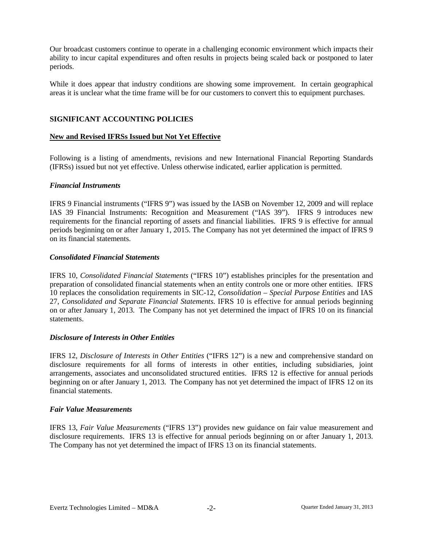Our broadcast customers continue to operate in a challenging economic environment which impacts their ability to incur capital expenditures and often results in projects being scaled back or postponed to later periods.

While it does appear that industry conditions are showing some improvement. In certain geographical areas it is unclear what the time frame will be for our customers to convert this to equipment purchases.

### **SIGNIFICANT ACCOUNTING POLICIES**

### **New and Revised IFRSs Issued but Not Yet Effective**

Following is a listing of amendments, revisions and new International Financial Reporting Standards (IFRSs) issued but not yet effective. Unless otherwise indicated, earlier application is permitted.

#### *Financial Instruments*

IFRS 9 Financial instruments ("IFRS 9") was issued by the IASB on November 12, 2009 and will replace IAS 39 Financial Instruments: Recognition and Measurement ("IAS 39"). IFRS 9 introduces new requirements for the financial reporting of assets and financial liabilities. IFRS 9 is effective for annual periods beginning on or after January 1, 2015. The Company has not yet determined the impact of IFRS 9 on its financial statements.

### *Consolidated Financial Statements*

IFRS 10, *Consolidated Financial Statements* ("IFRS 10") establishes principles for the presentation and preparation of consolidated financial statements when an entity controls one or more other entities. IFRS 10 replaces the consolidation requirements in SIC-12, *Consolidation – Special Purpose Entities* and IAS 27, *Consolidated and Separate Financial Statements.* IFRS 10 is effective for annual periods beginning on or after January 1, 2013. The Company has not yet determined the impact of IFRS 10 on its financial statements.

### *Disclosure of Interests in Other Entities*

IFRS 12, *Disclosure of Interests in Other Entities* ("IFRS 12") is a new and comprehensive standard on disclosure requirements for all forms of interests in other entities, including subsidiaries, joint arrangements, associates and unconsolidated structured entities. IFRS 12 is effective for annual periods beginning on or after January 1, 2013. The Company has not yet determined the impact of IFRS 12 on its financial statements.

#### *Fair Value Measurements*

IFRS 13, *Fair Value Measurements* ("IFRS 13") provides new guidance on fair value measurement and disclosure requirements. IFRS 13 is effective for annual periods beginning on or after January 1, 2013. The Company has not yet determined the impact of IFRS 13 on its financial statements.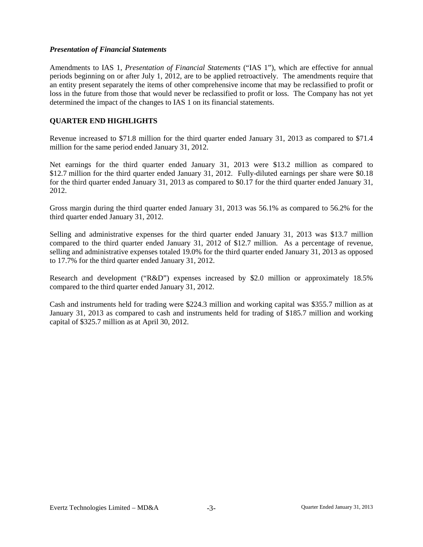### *Presentation of Financial Statements*

Amendments to IAS 1, *Presentation of Financial Statements* ("IAS 1"), which are effective for annual periods beginning on or after July 1, 2012, are to be applied retroactively. The amendments require that an entity present separately the items of other comprehensive income that may be reclassified to profit or loss in the future from those that would never be reclassified to profit or loss. The Company has not yet determined the impact of the changes to IAS 1 on its financial statements.

## **QUARTER END HIGHLIGHTS**

Revenue increased to \$71.8 million for the third quarter ended January 31, 2013 as compared to \$71.4 million for the same period ended January 31, 2012.

Net earnings for the third quarter ended January 31, 2013 were \$13.2 million as compared to \$12.7 million for the third quarter ended January 31, 2012. Fully-diluted earnings per share were \$0.18 for the third quarter ended January 31, 2013 as compared to \$0.17 for the third quarter ended January 31, 2012.

Gross margin during the third quarter ended January 31, 2013 was 56.1% as compared to 56.2% for the third quarter ended January 31, 2012.

Selling and administrative expenses for the third quarter ended January 31, 2013 was \$13.7 million compared to the third quarter ended January 31, 2012 of \$12.7 million. As a percentage of revenue, selling and administrative expenses totaled 19.0% for the third quarter ended January 31, 2013 as opposed to 17.7% for the third quarter ended January 31, 2012.

Research and development ("R&D") expenses increased by \$2.0 million or approximately 18.5% compared to the third quarter ended January 31, 2012.

Cash and instruments held for trading were \$224.3 million and working capital was \$355.7 million as at January 31, 2013 as compared to cash and instruments held for trading of \$185.7 million and working capital of \$325.7 million as at April 30, 2012.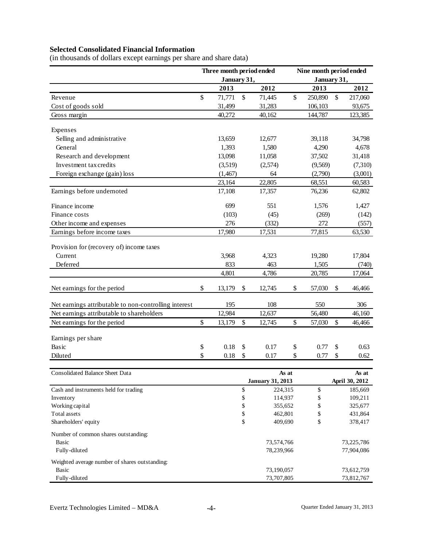# **Selected Consolidated Financial Information**

(in thousands of dollars except earnings per share and share data)

| January 31,<br>January 31,<br>2012<br>2012<br>2013<br>2013<br>\$<br>71,771<br>\$<br>\$<br>250,890<br>\$<br>71,445<br>217,060<br>Revenue<br>31,499<br>31,283<br>106,103<br>93,675<br>Cost of goods sold<br>144,787<br>40,272<br>40,162<br>123,385<br>Gross margin<br>Expenses<br>Selling and administrative<br>13,659<br>39,118<br>12,677<br>34,798<br>General<br>1,393<br>1,580<br>4,290<br>4,678<br>Research and development<br>13,098<br>11,058<br>37,502<br>31,418<br>Investment tax credits<br>(7,310)<br>(3,519)<br>(2,574)<br>(9,569)<br>Foreign exchange (gain) loss<br>(1,467)<br>64<br>(2,790)<br>(3,001)<br>22,805<br>23,164<br>60,583<br>68,551<br>Earnings before undernoted<br>76,236<br>17,108<br>17,357<br>62,802<br>Finance income<br>699<br>551<br>1,576<br>1,427<br>Finance costs<br>(103)<br>(45)<br>(269)<br>(142)<br>276<br>272<br>Other income and expenses<br>(332)<br>(557)<br>17,980<br>17,531<br>77,815<br>Earnings before income taxes<br>63,530<br>Provision for (recovery of) income taxes<br>Current<br>3,968<br>19,280<br>17,804<br>4,323<br>833<br>463<br>1,505<br>Deferred<br>(740)<br>4,801<br>4,786<br>20,785<br>17,064<br>\$<br>Net earnings for the period<br>12,745<br>\$<br>\$<br>13,179<br>\$<br>57,030<br>46,466<br>108<br>Net earnings attributable to non-controlling interest<br>195<br>550<br>306<br>Net earnings attributable to shareholders<br>12,984<br>12,637<br>56,480<br>46,160<br>\$<br>$\mathsf{\$}$<br>\$<br>Net earnings for the period<br>13,179<br>12,745<br>57,030<br>\$<br>46,466<br>Earnings per share<br>Basic<br>\$<br>0.18<br>\$<br>0.17<br>\$<br>0.77<br>\$<br>0.63<br>\$<br>0.18<br>\$<br>\$<br>Diluted<br>\$<br>0.17<br>0.77<br>0.62<br>Consolidated Balance Sheet Data<br>As at<br>As at<br><b>January 31, 2013</b><br>April 30, 2012<br>\$<br>\$<br>224,315<br>Cash and instruments held for trading<br>185,669<br>\$<br>\$<br>114,937<br>109,211<br>Inventory<br>\$<br>\$<br>Working capital<br>355,652<br>325,677<br>\$<br>Total assets<br>462,801<br>\$<br>431,864<br>\$<br>\$<br>Shareholders' equity<br>409,690<br>378,417<br>Number of common shares outstanding:<br>Basic<br>73,574,766<br>73,225,786<br>Fully-diluted<br>78,239,966<br>77,904,086<br>Weighted average number of shares outstanding: |  |  | Three month period ended |  |  | Nine month period ended |  |  |
|----------------------------------------------------------------------------------------------------------------------------------------------------------------------------------------------------------------------------------------------------------------------------------------------------------------------------------------------------------------------------------------------------------------------------------------------------------------------------------------------------------------------------------------------------------------------------------------------------------------------------------------------------------------------------------------------------------------------------------------------------------------------------------------------------------------------------------------------------------------------------------------------------------------------------------------------------------------------------------------------------------------------------------------------------------------------------------------------------------------------------------------------------------------------------------------------------------------------------------------------------------------------------------------------------------------------------------------------------------------------------------------------------------------------------------------------------------------------------------------------------------------------------------------------------------------------------------------------------------------------------------------------------------------------------------------------------------------------------------------------------------------------------------------------------------------------------------------------------------------------------------------------------------------------------------------------------------------------------------------------------------------------------------------------------------------------------------------------------------------------------------------------------------------------------------------------------------------------------------------------------------------------------------|--|--|--------------------------|--|--|-------------------------|--|--|
|                                                                                                                                                                                                                                                                                                                                                                                                                                                                                                                                                                                                                                                                                                                                                                                                                                                                                                                                                                                                                                                                                                                                                                                                                                                                                                                                                                                                                                                                                                                                                                                                                                                                                                                                                                                                                                                                                                                                                                                                                                                                                                                                                                                                                                                                                  |  |  |                          |  |  |                         |  |  |
|                                                                                                                                                                                                                                                                                                                                                                                                                                                                                                                                                                                                                                                                                                                                                                                                                                                                                                                                                                                                                                                                                                                                                                                                                                                                                                                                                                                                                                                                                                                                                                                                                                                                                                                                                                                                                                                                                                                                                                                                                                                                                                                                                                                                                                                                                  |  |  |                          |  |  |                         |  |  |
|                                                                                                                                                                                                                                                                                                                                                                                                                                                                                                                                                                                                                                                                                                                                                                                                                                                                                                                                                                                                                                                                                                                                                                                                                                                                                                                                                                                                                                                                                                                                                                                                                                                                                                                                                                                                                                                                                                                                                                                                                                                                                                                                                                                                                                                                                  |  |  |                          |  |  |                         |  |  |
|                                                                                                                                                                                                                                                                                                                                                                                                                                                                                                                                                                                                                                                                                                                                                                                                                                                                                                                                                                                                                                                                                                                                                                                                                                                                                                                                                                                                                                                                                                                                                                                                                                                                                                                                                                                                                                                                                                                                                                                                                                                                                                                                                                                                                                                                                  |  |  |                          |  |  |                         |  |  |
|                                                                                                                                                                                                                                                                                                                                                                                                                                                                                                                                                                                                                                                                                                                                                                                                                                                                                                                                                                                                                                                                                                                                                                                                                                                                                                                                                                                                                                                                                                                                                                                                                                                                                                                                                                                                                                                                                                                                                                                                                                                                                                                                                                                                                                                                                  |  |  |                          |  |  |                         |  |  |
|                                                                                                                                                                                                                                                                                                                                                                                                                                                                                                                                                                                                                                                                                                                                                                                                                                                                                                                                                                                                                                                                                                                                                                                                                                                                                                                                                                                                                                                                                                                                                                                                                                                                                                                                                                                                                                                                                                                                                                                                                                                                                                                                                                                                                                                                                  |  |  |                          |  |  |                         |  |  |
|                                                                                                                                                                                                                                                                                                                                                                                                                                                                                                                                                                                                                                                                                                                                                                                                                                                                                                                                                                                                                                                                                                                                                                                                                                                                                                                                                                                                                                                                                                                                                                                                                                                                                                                                                                                                                                                                                                                                                                                                                                                                                                                                                                                                                                                                                  |  |  |                          |  |  |                         |  |  |
|                                                                                                                                                                                                                                                                                                                                                                                                                                                                                                                                                                                                                                                                                                                                                                                                                                                                                                                                                                                                                                                                                                                                                                                                                                                                                                                                                                                                                                                                                                                                                                                                                                                                                                                                                                                                                                                                                                                                                                                                                                                                                                                                                                                                                                                                                  |  |  |                          |  |  |                         |  |  |
|                                                                                                                                                                                                                                                                                                                                                                                                                                                                                                                                                                                                                                                                                                                                                                                                                                                                                                                                                                                                                                                                                                                                                                                                                                                                                                                                                                                                                                                                                                                                                                                                                                                                                                                                                                                                                                                                                                                                                                                                                                                                                                                                                                                                                                                                                  |  |  |                          |  |  |                         |  |  |
|                                                                                                                                                                                                                                                                                                                                                                                                                                                                                                                                                                                                                                                                                                                                                                                                                                                                                                                                                                                                                                                                                                                                                                                                                                                                                                                                                                                                                                                                                                                                                                                                                                                                                                                                                                                                                                                                                                                                                                                                                                                                                                                                                                                                                                                                                  |  |  |                          |  |  |                         |  |  |
|                                                                                                                                                                                                                                                                                                                                                                                                                                                                                                                                                                                                                                                                                                                                                                                                                                                                                                                                                                                                                                                                                                                                                                                                                                                                                                                                                                                                                                                                                                                                                                                                                                                                                                                                                                                                                                                                                                                                                                                                                                                                                                                                                                                                                                                                                  |  |  |                          |  |  |                         |  |  |
|                                                                                                                                                                                                                                                                                                                                                                                                                                                                                                                                                                                                                                                                                                                                                                                                                                                                                                                                                                                                                                                                                                                                                                                                                                                                                                                                                                                                                                                                                                                                                                                                                                                                                                                                                                                                                                                                                                                                                                                                                                                                                                                                                                                                                                                                                  |  |  |                          |  |  |                         |  |  |
|                                                                                                                                                                                                                                                                                                                                                                                                                                                                                                                                                                                                                                                                                                                                                                                                                                                                                                                                                                                                                                                                                                                                                                                                                                                                                                                                                                                                                                                                                                                                                                                                                                                                                                                                                                                                                                                                                                                                                                                                                                                                                                                                                                                                                                                                                  |  |  |                          |  |  |                         |  |  |
|                                                                                                                                                                                                                                                                                                                                                                                                                                                                                                                                                                                                                                                                                                                                                                                                                                                                                                                                                                                                                                                                                                                                                                                                                                                                                                                                                                                                                                                                                                                                                                                                                                                                                                                                                                                                                                                                                                                                                                                                                                                                                                                                                                                                                                                                                  |  |  |                          |  |  |                         |  |  |
|                                                                                                                                                                                                                                                                                                                                                                                                                                                                                                                                                                                                                                                                                                                                                                                                                                                                                                                                                                                                                                                                                                                                                                                                                                                                                                                                                                                                                                                                                                                                                                                                                                                                                                                                                                                                                                                                                                                                                                                                                                                                                                                                                                                                                                                                                  |  |  |                          |  |  |                         |  |  |
|                                                                                                                                                                                                                                                                                                                                                                                                                                                                                                                                                                                                                                                                                                                                                                                                                                                                                                                                                                                                                                                                                                                                                                                                                                                                                                                                                                                                                                                                                                                                                                                                                                                                                                                                                                                                                                                                                                                                                                                                                                                                                                                                                                                                                                                                                  |  |  |                          |  |  |                         |  |  |
|                                                                                                                                                                                                                                                                                                                                                                                                                                                                                                                                                                                                                                                                                                                                                                                                                                                                                                                                                                                                                                                                                                                                                                                                                                                                                                                                                                                                                                                                                                                                                                                                                                                                                                                                                                                                                                                                                                                                                                                                                                                                                                                                                                                                                                                                                  |  |  |                          |  |  |                         |  |  |
|                                                                                                                                                                                                                                                                                                                                                                                                                                                                                                                                                                                                                                                                                                                                                                                                                                                                                                                                                                                                                                                                                                                                                                                                                                                                                                                                                                                                                                                                                                                                                                                                                                                                                                                                                                                                                                                                                                                                                                                                                                                                                                                                                                                                                                                                                  |  |  |                          |  |  |                         |  |  |
|                                                                                                                                                                                                                                                                                                                                                                                                                                                                                                                                                                                                                                                                                                                                                                                                                                                                                                                                                                                                                                                                                                                                                                                                                                                                                                                                                                                                                                                                                                                                                                                                                                                                                                                                                                                                                                                                                                                                                                                                                                                                                                                                                                                                                                                                                  |  |  |                          |  |  |                         |  |  |
|                                                                                                                                                                                                                                                                                                                                                                                                                                                                                                                                                                                                                                                                                                                                                                                                                                                                                                                                                                                                                                                                                                                                                                                                                                                                                                                                                                                                                                                                                                                                                                                                                                                                                                                                                                                                                                                                                                                                                                                                                                                                                                                                                                                                                                                                                  |  |  |                          |  |  |                         |  |  |
|                                                                                                                                                                                                                                                                                                                                                                                                                                                                                                                                                                                                                                                                                                                                                                                                                                                                                                                                                                                                                                                                                                                                                                                                                                                                                                                                                                                                                                                                                                                                                                                                                                                                                                                                                                                                                                                                                                                                                                                                                                                                                                                                                                                                                                                                                  |  |  |                          |  |  |                         |  |  |
|                                                                                                                                                                                                                                                                                                                                                                                                                                                                                                                                                                                                                                                                                                                                                                                                                                                                                                                                                                                                                                                                                                                                                                                                                                                                                                                                                                                                                                                                                                                                                                                                                                                                                                                                                                                                                                                                                                                                                                                                                                                                                                                                                                                                                                                                                  |  |  |                          |  |  |                         |  |  |
|                                                                                                                                                                                                                                                                                                                                                                                                                                                                                                                                                                                                                                                                                                                                                                                                                                                                                                                                                                                                                                                                                                                                                                                                                                                                                                                                                                                                                                                                                                                                                                                                                                                                                                                                                                                                                                                                                                                                                                                                                                                                                                                                                                                                                                                                                  |  |  |                          |  |  |                         |  |  |
|                                                                                                                                                                                                                                                                                                                                                                                                                                                                                                                                                                                                                                                                                                                                                                                                                                                                                                                                                                                                                                                                                                                                                                                                                                                                                                                                                                                                                                                                                                                                                                                                                                                                                                                                                                                                                                                                                                                                                                                                                                                                                                                                                                                                                                                                                  |  |  |                          |  |  |                         |  |  |
|                                                                                                                                                                                                                                                                                                                                                                                                                                                                                                                                                                                                                                                                                                                                                                                                                                                                                                                                                                                                                                                                                                                                                                                                                                                                                                                                                                                                                                                                                                                                                                                                                                                                                                                                                                                                                                                                                                                                                                                                                                                                                                                                                                                                                                                                                  |  |  |                          |  |  |                         |  |  |
|                                                                                                                                                                                                                                                                                                                                                                                                                                                                                                                                                                                                                                                                                                                                                                                                                                                                                                                                                                                                                                                                                                                                                                                                                                                                                                                                                                                                                                                                                                                                                                                                                                                                                                                                                                                                                                                                                                                                                                                                                                                                                                                                                                                                                                                                                  |  |  |                          |  |  |                         |  |  |
|                                                                                                                                                                                                                                                                                                                                                                                                                                                                                                                                                                                                                                                                                                                                                                                                                                                                                                                                                                                                                                                                                                                                                                                                                                                                                                                                                                                                                                                                                                                                                                                                                                                                                                                                                                                                                                                                                                                                                                                                                                                                                                                                                                                                                                                                                  |  |  |                          |  |  |                         |  |  |
|                                                                                                                                                                                                                                                                                                                                                                                                                                                                                                                                                                                                                                                                                                                                                                                                                                                                                                                                                                                                                                                                                                                                                                                                                                                                                                                                                                                                                                                                                                                                                                                                                                                                                                                                                                                                                                                                                                                                                                                                                                                                                                                                                                                                                                                                                  |  |  |                          |  |  |                         |  |  |
|                                                                                                                                                                                                                                                                                                                                                                                                                                                                                                                                                                                                                                                                                                                                                                                                                                                                                                                                                                                                                                                                                                                                                                                                                                                                                                                                                                                                                                                                                                                                                                                                                                                                                                                                                                                                                                                                                                                                                                                                                                                                                                                                                                                                                                                                                  |  |  |                          |  |  |                         |  |  |
|                                                                                                                                                                                                                                                                                                                                                                                                                                                                                                                                                                                                                                                                                                                                                                                                                                                                                                                                                                                                                                                                                                                                                                                                                                                                                                                                                                                                                                                                                                                                                                                                                                                                                                                                                                                                                                                                                                                                                                                                                                                                                                                                                                                                                                                                                  |  |  |                          |  |  |                         |  |  |
|                                                                                                                                                                                                                                                                                                                                                                                                                                                                                                                                                                                                                                                                                                                                                                                                                                                                                                                                                                                                                                                                                                                                                                                                                                                                                                                                                                                                                                                                                                                                                                                                                                                                                                                                                                                                                                                                                                                                                                                                                                                                                                                                                                                                                                                                                  |  |  |                          |  |  |                         |  |  |
|                                                                                                                                                                                                                                                                                                                                                                                                                                                                                                                                                                                                                                                                                                                                                                                                                                                                                                                                                                                                                                                                                                                                                                                                                                                                                                                                                                                                                                                                                                                                                                                                                                                                                                                                                                                                                                                                                                                                                                                                                                                                                                                                                                                                                                                                                  |  |  |                          |  |  |                         |  |  |
|                                                                                                                                                                                                                                                                                                                                                                                                                                                                                                                                                                                                                                                                                                                                                                                                                                                                                                                                                                                                                                                                                                                                                                                                                                                                                                                                                                                                                                                                                                                                                                                                                                                                                                                                                                                                                                                                                                                                                                                                                                                                                                                                                                                                                                                                                  |  |  |                          |  |  |                         |  |  |
|                                                                                                                                                                                                                                                                                                                                                                                                                                                                                                                                                                                                                                                                                                                                                                                                                                                                                                                                                                                                                                                                                                                                                                                                                                                                                                                                                                                                                                                                                                                                                                                                                                                                                                                                                                                                                                                                                                                                                                                                                                                                                                                                                                                                                                                                                  |  |  |                          |  |  |                         |  |  |
|                                                                                                                                                                                                                                                                                                                                                                                                                                                                                                                                                                                                                                                                                                                                                                                                                                                                                                                                                                                                                                                                                                                                                                                                                                                                                                                                                                                                                                                                                                                                                                                                                                                                                                                                                                                                                                                                                                                                                                                                                                                                                                                                                                                                                                                                                  |  |  |                          |  |  |                         |  |  |
|                                                                                                                                                                                                                                                                                                                                                                                                                                                                                                                                                                                                                                                                                                                                                                                                                                                                                                                                                                                                                                                                                                                                                                                                                                                                                                                                                                                                                                                                                                                                                                                                                                                                                                                                                                                                                                                                                                                                                                                                                                                                                                                                                                                                                                                                                  |  |  |                          |  |  |                         |  |  |
|                                                                                                                                                                                                                                                                                                                                                                                                                                                                                                                                                                                                                                                                                                                                                                                                                                                                                                                                                                                                                                                                                                                                                                                                                                                                                                                                                                                                                                                                                                                                                                                                                                                                                                                                                                                                                                                                                                                                                                                                                                                                                                                                                                                                                                                                                  |  |  |                          |  |  |                         |  |  |
|                                                                                                                                                                                                                                                                                                                                                                                                                                                                                                                                                                                                                                                                                                                                                                                                                                                                                                                                                                                                                                                                                                                                                                                                                                                                                                                                                                                                                                                                                                                                                                                                                                                                                                                                                                                                                                                                                                                                                                                                                                                                                                                                                                                                                                                                                  |  |  |                          |  |  |                         |  |  |
|                                                                                                                                                                                                                                                                                                                                                                                                                                                                                                                                                                                                                                                                                                                                                                                                                                                                                                                                                                                                                                                                                                                                                                                                                                                                                                                                                                                                                                                                                                                                                                                                                                                                                                                                                                                                                                                                                                                                                                                                                                                                                                                                                                                                                                                                                  |  |  |                          |  |  |                         |  |  |
|                                                                                                                                                                                                                                                                                                                                                                                                                                                                                                                                                                                                                                                                                                                                                                                                                                                                                                                                                                                                                                                                                                                                                                                                                                                                                                                                                                                                                                                                                                                                                                                                                                                                                                                                                                                                                                                                                                                                                                                                                                                                                                                                                                                                                                                                                  |  |  |                          |  |  |                         |  |  |
|                                                                                                                                                                                                                                                                                                                                                                                                                                                                                                                                                                                                                                                                                                                                                                                                                                                                                                                                                                                                                                                                                                                                                                                                                                                                                                                                                                                                                                                                                                                                                                                                                                                                                                                                                                                                                                                                                                                                                                                                                                                                                                                                                                                                                                                                                  |  |  |                          |  |  |                         |  |  |
| <b>Basic</b><br>73,190,057<br>73,612,759                                                                                                                                                                                                                                                                                                                                                                                                                                                                                                                                                                                                                                                                                                                                                                                                                                                                                                                                                                                                                                                                                                                                                                                                                                                                                                                                                                                                                                                                                                                                                                                                                                                                                                                                                                                                                                                                                                                                                                                                                                                                                                                                                                                                                                         |  |  |                          |  |  |                         |  |  |
| Fully-diluted<br>73,707,805<br>73,812,767                                                                                                                                                                                                                                                                                                                                                                                                                                                                                                                                                                                                                                                                                                                                                                                                                                                                                                                                                                                                                                                                                                                                                                                                                                                                                                                                                                                                                                                                                                                                                                                                                                                                                                                                                                                                                                                                                                                                                                                                                                                                                                                                                                                                                                        |  |  |                          |  |  |                         |  |  |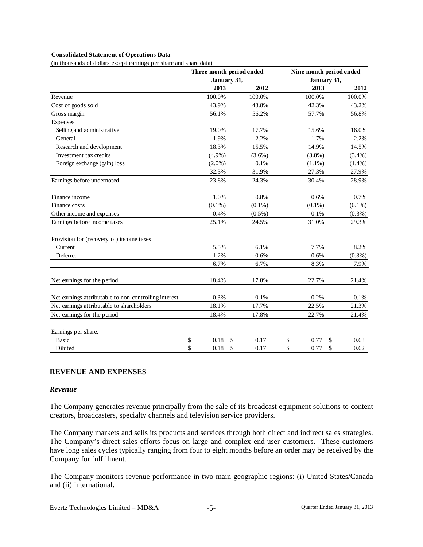#### **Consolidated Statement of Operations Data**

(in thousands of dollars except earnings per share and share data)

|                                                       |             | Three month period ended |             | Nine month period ended |
|-------------------------------------------------------|-------------|--------------------------|-------------|-------------------------|
|                                                       | January 31, |                          | January 31, |                         |
|                                                       | 2013        | 2012                     | 2013        | 2012                    |
| Revenue                                               | 100.0%      | 100.0%                   | 100.0%      | 100.0%                  |
| Cost of goods sold                                    | 43.9%       | 43.8%                    | 42.3%       | 43.2%                   |
| Gross margin                                          | 56.1%       | 56.2%                    | 57.7%       | 56.8%                   |
| Expenses                                              |             |                          |             |                         |
| Selling and administrative                            | 19.0%       | 17.7%                    | 15.6%       | 16.0%                   |
| General                                               | 1.9%        | 2.2%                     | 1.7%        | 2.2%                    |
| Research and development                              | 18.3%       | 15.5%                    | 14.9%       | 14.5%                   |
| Investment tax credits                                | $(4.9\%)$   | $(3.6\%)$                | $(3.8\%)$   | (3.4%)                  |
| Foreign exchange (gain) loss                          | $(2.0\%)$   | 0.1%                     | $(1.1\%)$   | $(1.4\%)$               |
|                                                       | 32.3%       | 31.9%                    | 27.3%       | 27.9%                   |
| Earnings before undernoted                            | 23.8%       | 24.3%                    | 30.4%       | 28.9%                   |
| Finance income                                        | 1.0%        | 0.8%                     | 0.6%        | 0.7%                    |
| Finance costs                                         | $(0.1\%)$   | $(0.1\%)$                | $(0.1\%)$   | $(0.1\%)$               |
| Other income and expenses                             | 0.4%        | $(0.5\%)$                | 0.1%        | $(0.3\%)$               |
| Earnings before income taxes                          | 25.1%       | 24.5%                    | 31.0%       | 29.3%                   |
| Provision for (recovery of) income taxes              |             |                          |             |                         |
| Current                                               | 5.5%        | 6.1%                     | 7.7%        | 8.2%                    |
| Deferred                                              | 1.2%        | 0.6%                     | 0.6%        | $(0.3\%)$               |
|                                                       | 6.7%        | 6.7%                     | 8.3%        | 7.9%                    |
| Net earnings for the period                           | 18.4%       | 17.8%                    | 22.7%       | 21.4%                   |
| Net earnings attributable to non-controlling interest | 0.3%        | 0.1%                     | 0.2%        | 0.1%                    |
| Net earnings attributable to shareholders             | 18.1%       | 17.7%                    | 22.5%       | 21.3%                   |
| Net earnings for the period                           | 18.4%       | 17.8%                    | 22.7%       | 21.4%                   |
| Earnings per share:                                   |             |                          |             |                         |
| <b>Basic</b>                                          | \$<br>0.18  | \$<br>0.17               | \$<br>0.77  | \$<br>0.63              |
| Diluted                                               | \$<br>0.18  | \$<br>0.17               | \$<br>0.77  | \$<br>0.62              |

### **REVENUE AND EXPENSES**

### *Revenue*

The Company generates revenue principally from the sale of its broadcast equipment solutions to content creators, broadcasters, specialty channels and television service providers.

The Company markets and sells its products and services through both direct and indirect sales strategies. The Company's direct sales efforts focus on large and complex end-user customers. These customers have long sales cycles typically ranging from four to eight months before an order may be received by the Company for fulfillment.

The Company monitors revenue performance in two main geographic regions: (i) United States/Canada and (ii) International.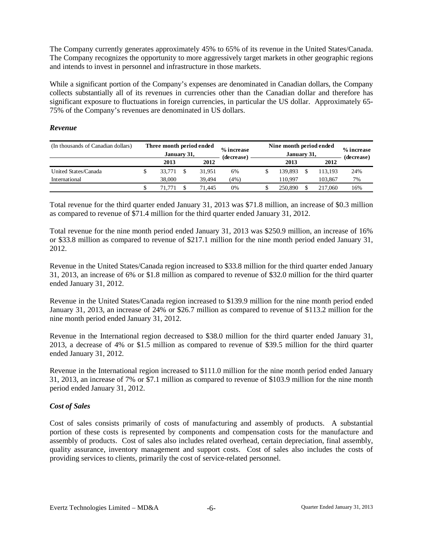The Company currently generates approximately 45% to 65% of its revenue in the United States/Canada. The Company recognizes the opportunity to more aggressively target markets in other geographic regions and intends to invest in personnel and infrastructure in those markets.

While a significant portion of the Company's expenses are denominated in Canadian dollars, the Company collects substantially all of its revenues in currencies other than the Canadian dollar and therefore has significant exposure to fluctuations in foreign currencies, in particular the US dollar. Approximately 65- 75% of the Company's revenues are denominated in US dollars.

### *Revenue*

| (In thousands of Canadian dollars) | Three month period ended<br>January 31, |  |        | % increase<br>(decrease) | Nine month period ended | % increase<br>(decrease) |  |         |     |
|------------------------------------|-----------------------------------------|--|--------|--------------------------|-------------------------|--------------------------|--|---------|-----|
|                                    | 2013                                    |  | 2012   |                          |                         | 2013                     |  | 2012    |     |
| United States/Canada               | 33.771                                  |  | 31.951 | 6%                       |                         | 139.893                  |  | 13.193  | 24% |
| International                      | 38,000                                  |  | 39.494 | (4%)                     |                         | 110.997                  |  | 103.867 | 7%  |
|                                    |                                         |  | 71.445 | 0%                       |                         | 250.890                  |  | 217,060 | 16% |

Total revenue for the third quarter ended January 31, 2013 was \$71.8 million, an increase of \$0.3 million as compared to revenue of \$71.4 million for the third quarter ended January 31, 2012.

Total revenue for the nine month period ended January 31, 2013 was \$250.9 million, an increase of 16% or \$33.8 million as compared to revenue of \$217.1 million for the nine month period ended January 31, 2012.

Revenue in the United States/Canada region increased to \$33.8 million for the third quarter ended January 31, 2013, an increase of 6% or \$1.8 million as compared to revenue of \$32.0 million for the third quarter ended January 31, 2012.

Revenue in the United States/Canada region increased to \$139.9 million for the nine month period ended January 31, 2013, an increase of 24% or \$26.7 million as compared to revenue of \$113.2 million for the nine month period ended January 31, 2012.

Revenue in the International region decreased to \$38.0 million for the third quarter ended January 31, 2013, a decrease of 4% or \$1.5 million as compared to revenue of \$39.5 million for the third quarter ended January 31, 2012.

Revenue in the International region increased to \$111.0 million for the nine month period ended January 31, 2013, an increase of 7% or \$7.1 million as compared to revenue of \$103.9 million for the nine month period ended January 31, 2012.

### *Cost of Sales*

Cost of sales consists primarily of costs of manufacturing and assembly of products. A substantial portion of these costs is represented by components and compensation costs for the manufacture and assembly of products. Cost of sales also includes related overhead, certain depreciation, final assembly, quality assurance, inventory management and support costs. Cost of sales also includes the costs of providing services to clients, primarily the cost of service-related personnel.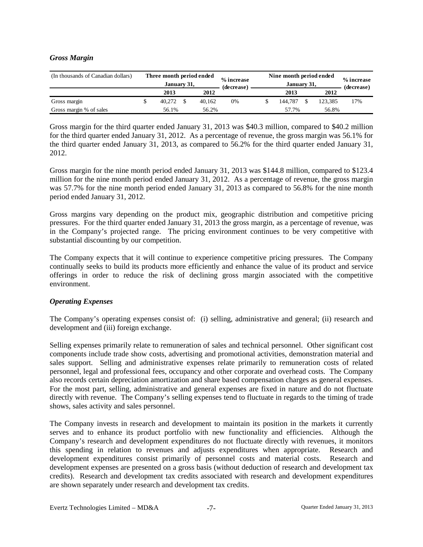### *Gross Margin*

| (In thousands of Canadian dollars) | Three month period ended<br>January 31, |        | % increase<br>(decrease) | Nine month period ended | % increase<br>(decrease) |         |     |  |
|------------------------------------|-----------------------------------------|--------|--------------------------|-------------------------|--------------------------|---------|-----|--|
|                                    | 2013                                    | 2012   |                          |                         | 2013                     | 2012    |     |  |
| Gross margin                       | 40.272                                  | 40.162 | 0%                       |                         | 144.787                  | 123.385 | 17% |  |
| Gross margin % of sales            | 56.1%                                   | 56.2%  |                          |                         | 57.7%                    | 56.8%   |     |  |

Gross margin for the third quarter ended January 31, 2013 was \$40.3 million, compared to \$40.2 million for the third quarter ended January 31, 2012. As a percentage of revenue, the gross margin was 56.1% for the third quarter ended January 31, 2013, as compared to 56.2% for the third quarter ended January 31, 2012.

Gross margin for the nine month period ended January 31, 2013 was \$144.8 million, compared to \$123.4 million for the nine month period ended January 31, 2012. As a percentage of revenue, the gross margin was 57.7% for the nine month period ended January 31, 2013 as compared to 56.8% for the nine month period ended January 31, 2012.

Gross margins vary depending on the product mix, geographic distribution and competitive pricing pressures. For the third quarter ended January 31, 2013 the gross margin, as a percentage of revenue, was in the Company's projected range. The pricing environment continues to be very competitive with substantial discounting by our competition.

The Company expects that it will continue to experience competitive pricing pressures. The Company continually seeks to build its products more efficiently and enhance the value of its product and service offerings in order to reduce the risk of declining gross margin associated with the competitive environment.

### *Operating Expenses*

The Company's operating expenses consist of: (i) selling, administrative and general; (ii) research and development and (iii) foreign exchange.

Selling expenses primarily relate to remuneration of sales and technical personnel. Other significant cost components include trade show costs, advertising and promotional activities, demonstration material and sales support. Selling and administrative expenses relate primarily to remuneration costs of related personnel, legal and professional fees, occupancy and other corporate and overhead costs. The Company also records certain depreciation amortization and share based compensation charges as general expenses. For the most part, selling, administrative and general expenses are fixed in nature and do not fluctuate directly with revenue. The Company's selling expenses tend to fluctuate in regards to the timing of trade shows, sales activity and sales personnel.

The Company invests in research and development to maintain its position in the markets it currently serves and to enhance its product portfolio with new functionality and efficiencies. Although the Company's research and development expenditures do not fluctuate directly with revenues, it monitors this spending in relation to revenues and adjusts expenditures when appropriate. Research and development expenditures consist primarily of personnel costs and material costs. Research and development expenses are presented on a gross basis (without deduction of research and development tax credits). Research and development tax credits associated with research and development expenditures are shown separately under research and development tax credits.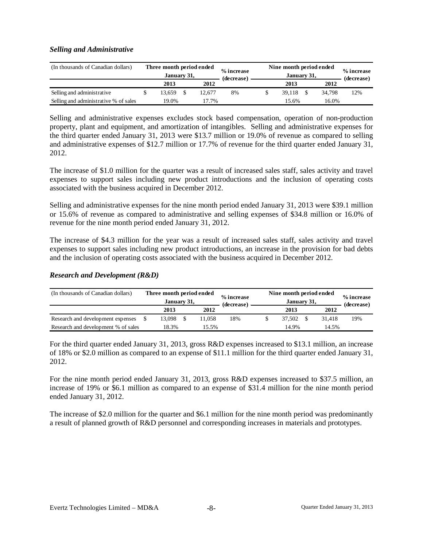### *Selling and Administrative*

| (In thousands of Canadian dollars)    | Three month period ended<br>January 31, |        | % increase<br>(decrease) | Nine month period ended | % increase<br>(decrease) |        |        |
|---------------------------------------|-----------------------------------------|--------|--------------------------|-------------------------|--------------------------|--------|--------|
|                                       | 2013                                    | 2012   |                          |                         | 2013                     | 2012   |        |
| Selling and administrative            | 13.659                                  | 12.677 | 8%                       |                         | 39.118                   | 34.798 | $12\%$ |
| Selling and administrative % of sales | 19.0%                                   | 17.7%  |                          |                         | 15.6%                    | 16.0%  |        |

Selling and administrative expenses excludes stock based compensation, operation of non-production property, plant and equipment, and amortization of intangibles. Selling and administrative expenses for the third quarter ended January 31, 2013 were \$13.7 million or 19.0% of revenue as compared to selling and administrative expenses of \$12.7 million or 17.7% of revenue for the third quarter ended January 31, 2012.

The increase of \$1.0 million for the quarter was a result of increased sales staff, sales activity and travel expenses to support sales including new product introductions and the inclusion of operating costs associated with the business acquired in December 2012.

Selling and administrative expenses for the nine month period ended January 31, 2013 were \$39.1 million or 15.6% of revenue as compared to administrative and selling expenses of \$34.8 million or 16.0% of revenue for the nine month period ended January 31, 2012.

The increase of \$4.3 million for the year was a result of increased sales staff, sales activity and travel expenses to support sales including new product introductions, an increase in the provision for bad debts and the inclusion of operating costs associated with the business acquired in December 2012.

### *Research and Development (R&D)*

| (In thousands of Canadian dollars)  | Three month period ended<br>January 31, |  |        | % increase<br>(decrease) | Nine month period ended | % increase<br>(decrease) |        |     |  |
|-------------------------------------|-----------------------------------------|--|--------|--------------------------|-------------------------|--------------------------|--------|-----|--|
|                                     | 2013                                    |  | 2012   |                          |                         | 2013                     | 2012   |     |  |
| Research and development expenses   | 13,098                                  |  | 11.058 | 18%                      |                         | 37.502                   | 31.418 | 19% |  |
| Research and development % of sales | 18.3%<br>15.5%                          |  |        |                          |                         | 14.9%                    | 14.5%  |     |  |

For the third quarter ended January 31, 2013, gross R&D expenses increased to \$13.1 million, an increase of 18% or \$2.0 million as compared to an expense of \$11.1 million for the third quarter ended January 31, 2012.

For the nine month period ended January 31, 2013, gross R&D expenses increased to \$37.5 million, an increase of 19% or \$6.1 million as compared to an expense of \$31.4 million for the nine month period ended January 31, 2012.

The increase of \$2.0 million for the quarter and \$6.1 million for the nine month period was predominantly a result of planned growth of R&D personnel and corresponding increases in materials and prototypes.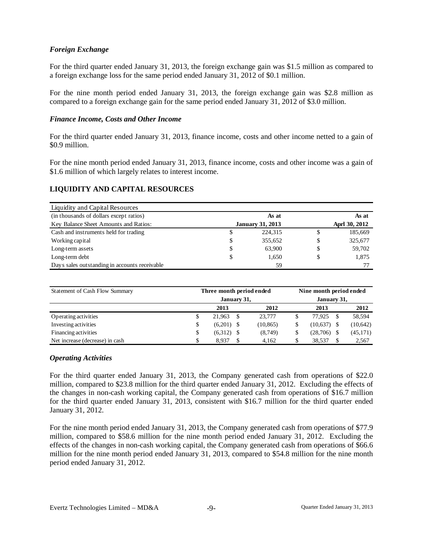## *Foreign Exchange*

For the third quarter ended January 31, 2013, the foreign exchange gain was \$1.5 million as compared to a foreign exchange loss for the same period ended January 31, 2012 of \$0.1 million.

For the nine month period ended January 31, 2013, the foreign exchange gain was \$2.8 million as compared to a foreign exchange gain for the same period ended January 31, 2012 of \$3.0 million.

### *Finance Income, Costs and Other Income*

For the third quarter ended January 31, 2013, finance income, costs and other income netted to a gain of \$0.9 million.

For the nine month period ended January 31, 2013, finance income, costs and other income was a gain of \$1.6 million of which largely relates to interest income.

## **LIQUIDITY AND CAPITAL RESOURCES**

| Liquidity and Capital Resources               |    |                         |       |               |  |  |
|-----------------------------------------------|----|-------------------------|-------|---------------|--|--|
| (in thousands of dollars except ratios)       |    | As at                   | As at |               |  |  |
| Key Balance Sheet Amounts and Ratios:         |    | <b>January 31, 2013</b> |       | Aprl 30, 2012 |  |  |
| Cash and instruments held for trading         | S  | 224,315                 | \$    | 185,669       |  |  |
| Working capital                               | \$ | 355.652                 | \$    | 325,677       |  |  |
| Long-term assets                              | \$ | 63,900                  | \$    | 59,702        |  |  |
| Long-term debt                                | \$ | 1,650                   | \$    | 1,875         |  |  |
| Days sales outstanding in accounts receivable |    | 59                      |       |               |  |  |

| Statement of Cash Flow Summary  |    | Three month period ended | Nine month period ended |                         |           |  |  |  |
|---------------------------------|----|--------------------------|-------------------------|-------------------------|-----------|--|--|--|
|                                 |    | January 31,              | January 31,             |                         |           |  |  |  |
|                                 |    | 2013                     | 2012                    | 2013                    | 2012      |  |  |  |
| Operating activities            | S  | 21.963                   | 23,777                  | 77.925<br><sup>\$</sup> | 58,594    |  |  |  |
| Investing activities            | S  | (6,201)                  | (10, 865)               | (10,637)                | (10,642)  |  |  |  |
| Financing activities            | \$ | (6,312)                  | (8,749)                 | (28,706)                | (45, 171) |  |  |  |
| Net increase (decrease) in cash |    | 8.937                    | 4.162                   | 38,537                  | 2,567     |  |  |  |

#### *Operating Activities*

For the third quarter ended January 31, 2013, the Company generated cash from operations of \$22.0 million, compared to \$23.8 million for the third quarter ended January 31, 2012. Excluding the effects of the changes in non-cash working capital, the Company generated cash from operations of \$16.7 million for the third quarter ended January 31, 2013, consistent with \$16.7 million for the third quarter ended January 31, 2012.

For the nine month period ended January 31, 2013, the Company generated cash from operations of \$77.9 million, compared to \$58.6 million for the nine month period ended January 31, 2012. Excluding the effects of the changes in non-cash working capital, the Company generated cash from operations of \$66.6 million for the nine month period ended January 31, 2013, compared to \$54.8 million for the nine month period ended January 31, 2012.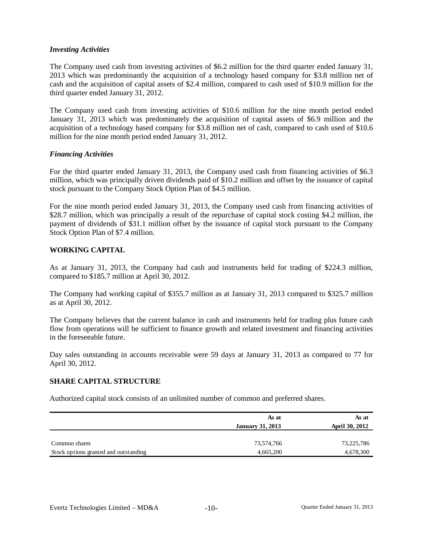### *Investing Activities*

The Company used cash from investing activities of \$6.2 million for the third quarter ended January 31, 2013 which was predominantly the acquisition of a technology based company for \$3.8 million net of cash and the acquisition of capital assets of \$2.4 million, compared to cash used of \$10.9 million for the third quarter ended January 31, 2012.

The Company used cash from investing activities of \$10.6 million for the nine month period ended January 31, 2013 which was predominately the acquisition of capital assets of \$6.9 million and the acquisition of a technology based company for \$3.8 million net of cash, compared to cash used of \$10.6 million for the nine month period ended January 31, 2012.

### *Financing Activities*

For the third quarter ended January 31, 2013, the Company used cash from financing activities of \$6.3 million, which was principally driven dividends paid of \$10.2 million and offset by the issuance of capital stock pursuant to the Company Stock Option Plan of \$4.5 million.

For the nine month period ended January 31, 2013, the Company used cash from financing activities of \$28.7 million, which was principally a result of the repurchase of capital stock costing \$4.2 million, the payment of dividends of \$31.1 million offset by the issuance of capital stock pursuant to the Company Stock Option Plan of \$7.4 million.

### **WORKING CAPITAL**

As at January 31, 2013, the Company had cash and instruments held for trading of \$224.3 million, compared to \$185.7 million at April 30, 2012.

The Company had working capital of \$355.7 million as at January 31, 2013 compared to \$325.7 million as at April 30, 2012.

The Company believes that the current balance in cash and instruments held for trading plus future cash flow from operations will be sufficient to finance growth and related investment and financing activities in the foreseeable future.

Day sales outstanding in accounts receivable were 59 days at January 31, 2013 as compared to 77 for April 30, 2012.

#### **SHARE CAPITAL STRUCTURE**

Authorized capital stock consists of an unlimited number of common and preferred shares.

|                                       | As at<br><b>January 31, 2013</b> | As at<br>April 30, 2012 |
|---------------------------------------|----------------------------------|-------------------------|
| Common shares                         | 73,574,766                       | 73,225,786              |
| Stock options granted and outstanding | 4,665,200                        | 4,678,300               |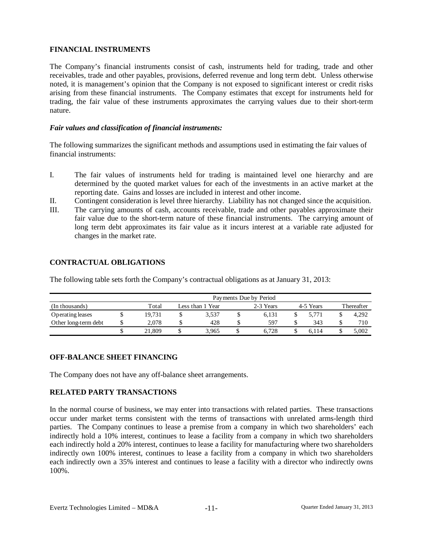## **FINANCIAL INSTRUMENTS**

The Company's financial instruments consist of cash, instruments held for trading, trade and other receivables, trade and other payables, provisions, deferred revenue and long term debt. Unless otherwise noted, it is management's opinion that the Company is not exposed to significant interest or credit risks arising from these financial instruments. The Company estimates that except for instruments held for trading, the fair value of these instruments approximates the carrying values due to their short-term nature.

### *Fair values and classification of financial instruments:*

The following summarizes the significant methods and assumptions used in estimating the fair values of financial instruments:

- I. The fair values of instruments held for trading is maintained level one hierarchy and are determined by the quoted market values for each of the investments in an active market at the reporting date. Gains and losses are included in interest and other income.
- II. Contingent consideration is level three hierarchy. Liability has not changed since the acquisition.
- III. The carrying amounts of cash, accounts receivable, trade and other payables approximate their fair value due to the short-term nature of these financial instruments. The carrying amount of long term debt approximates its fair value as it incurs interest at a variable rate adjusted for changes in the market rate.

## **CONTRACTUAL OBLIGATIONS**

The following table sets forth the Company's contractual obligations as at January 31, 2013:

|                      | Payments Due by Period |  |                  |  |           |  |           |            |       |  |  |  |  |
|----------------------|------------------------|--|------------------|--|-----------|--|-----------|------------|-------|--|--|--|--|
| (In thousands)       | Total                  |  | Less than 1 Year |  | 2-3 Years |  | 4-5 Years | Thereafter |       |  |  |  |  |
| Operating leases     | 19.731                 |  | 3.537            |  | 6.131     |  | 5.771     |            | 4.292 |  |  |  |  |
| Other long-term debt | 2.078                  |  | 428              |  | 597       |  | 343       |            | 710   |  |  |  |  |
|                      | 21.809                 |  | 3.965            |  | 6.728     |  | 6.114     |            | 5.002 |  |  |  |  |

# **OFF-BALANCE SHEET FINANCING**

The Company does not have any off-balance sheet arrangements.

### **RELATED PARTY TRANSACTIONS**

In the normal course of business, we may enter into transactions with related parties. These transactions occur under market terms consistent with the terms of transactions with unrelated arms-length third parties. The Company continues to lease a premise from a company in which two shareholders' each indirectly hold a 10% interest, continues to lease a facility from a company in which two shareholders each indirectly hold a 20% interest, continues to lease a facility for manufacturing where two shareholders indirectly own 100% interest, continues to lease a facility from a company in which two shareholders each indirectly own a 35% interest and continues to lease a facility with a director who indirectly owns 100%.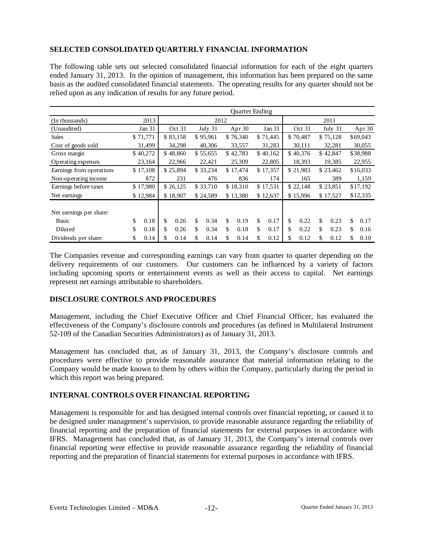# **SELECTED CONSOLIDATED QUARTERLY FINANCIAL INFORMATION**

The following table sets out selected consolidated financial information for each of the eight quarters ended January 31, 2013. In the opinion of management, this information has been prepared on the same basis as the audited consolidated financial statements. The operating results for any quarter should not be relied upon as any indication of results for any future period.

|                          |            |                   |          |          |          |          | Quarter Ending |          |          |          |          |          |          |          |          |
|--------------------------|------------|-------------------|----------|----------|----------|----------|----------------|----------|----------|----------|----------|----------|----------|----------|----------|
| (In thousands)           | 2013       |                   |          |          | 2012     |          |                |          |          |          |          |          | 2011     |          |          |
| (Unaudited)              | Jan 31     | Oct 31<br>July 31 |          |          |          | Apr 30   | Jan 31         |          |          | Oct 31   |          | July 31  |          | Apr 30   |          |
| <b>Sales</b>             | \$71,771   |                   | \$83,158 |          | \$95,961 |          | \$76,340       |          | \$71,445 |          | \$70,487 |          | \$75,128 |          | \$69,043 |
| Cost of goods sold       | 31,499     |                   | 34,298   |          | 40,306   |          | 33,557         |          | 31,283   |          | 30,111   |          | 32,281   |          | 30,055   |
| Gross margin             | \$40,272   |                   | \$48,860 |          | \$55,655 |          | \$42,783       |          | \$40,162 |          | \$40,376 |          | \$42,847 |          | \$38,988 |
| Operating expenses       | 23,164     |                   | 22,966   |          | 22,421   |          | 25,309         |          | 22,805   | 18,393   |          |          | 19,385   | 22,955   |          |
| Earnings from operations | \$17,108   |                   | \$25,894 |          | \$33,234 |          | \$17,474       |          | \$17,357 |          | \$21,983 | \$23,462 |          | \$16,033 |          |
| Non-operating income     | 872        |                   | 231      | 476      |          |          | 836            |          | 174      |          | 165      |          | 389      |          | 1,159    |
| Earnings before taxes    | \$17,980   |                   | \$26,125 | \$33,710 |          |          | \$18,310       |          | \$17,531 |          | \$22,148 | \$23,851 |          | \$17,192 |          |
| Net earnings             | \$12,984   |                   | \$18,907 |          | \$24,589 | \$13,380 |                | \$12,637 |          | \$15,996 |          | \$17,527 |          | \$12,335 |          |
|                          |            |                   |          |          |          |          |                |          |          |          |          |          |          |          |          |
| Net earnings per share:  |            |                   |          |          |          |          |                |          |          |          |          |          |          |          |          |
| <b>Basic</b>             | \$<br>0.18 | \$                | 0.26     | \$       | 0.34     | \$       | 0.19           | \$       | 0.17     | \$       | 0.22     | \$       | 0.23     | \$       | 0.17     |
| Diluted                  | \$<br>0.18 | \$                | 0.26     | \$       | 0.34     | \$       | 0.18           | \$       | 0.17     | \$       | 0.22     | \$       | 0.23     | \$       | 0.16     |
| Dividends per share:     | \$<br>0.14 | \$                | 0.14     | S        | 0.14     | S.       | 0.14           | \$       | 0.12     | \$       | 0.12     | \$       | 0.12     | \$       | 0.10     |

The Companies revenue and corresponding earnings can vary from quarter to quarter depending on the delivery requirements of our customers. Our customers can be influenced by a variety of factors including upcoming sports or entertainment events as well as their access to capital. Net earnings represent net earnings attributable to shareholders.

### **DISCLOSURE CONTROLS AND PROCEDURES**

Management, including the Chief Executive Officer and Chief Financial Officer, has evaluated the effectiveness of the Company's disclosure controls and procedures (as defined in Multilateral Instrument 52-109 of the Canadian Securities Administrators) as of January 31, 2013.

Management has concluded that, as of January 31, 2013, the Company's disclosure controls and procedures were effective to provide reasonable assurance that material information relating to the Company would be made known to them by others within the Company, particularly during the period in which this report was being prepared.

# **INTERNAL CONTROLS OVER FINANCIAL REPORTING**

Management is responsible for and has designed internal controls over financial reporting, or caused it to be designed under management's supervision, to provide reasonable assurance regarding the reliability of financial reporting and the preparation of financial statements for external purposes in accordance with IFRS. Management has concluded that, as of January 31, 2013, the Company's internal controls over financial reporting were effective to provide reasonable assurance regarding the reliability of financial reporting and the preparation of financial statements for external purposes in accordance with IFRS.